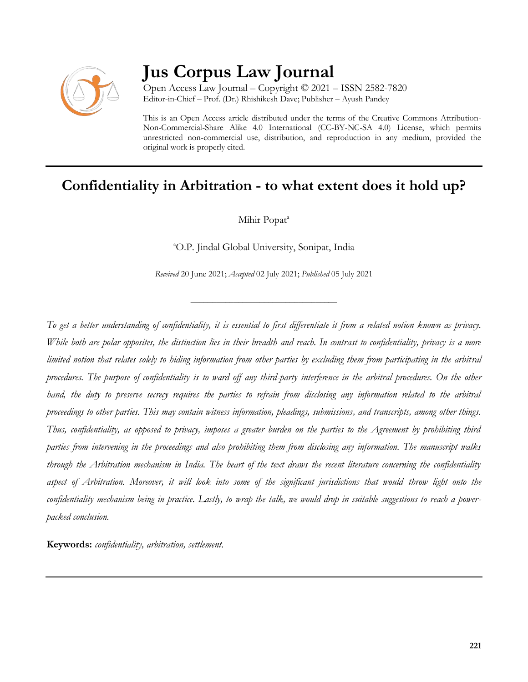

# **Jus Corpus Law Journal**

Open Access Law Journal – Copyright © 2021 – ISSN 2582-7820 Editor-in-Chief – Prof. (Dr.) Rhishikesh Dave; Publisher – Ayush Pandey

This is an Open Access article distributed under the terms of the Creative Commons Attribution-Non-Commercial-Share Alike 4.0 International (CC-BY-NC-SA 4.0) License, which permits unrestricted non-commercial use, distribution, and reproduction in any medium, provided the original work is properly cited.

# **Confidentiality in Arbitration - to what extent does it hold up?**

Mihir Popat<sup>a</sup>

<sup>a</sup>O.P. Jindal Global University, Sonipat, India

*Received* 20 June 2021; *Accepted* 02 July 2021; *Published* 05 July 2021

\_\_\_\_\_\_\_\_\_\_\_\_\_\_\_\_\_\_\_\_\_\_\_\_\_\_\_\_\_\_\_\_\_\_

*To get a better understanding of confidentiality, it is essential to first differentiate it from a related notion known as privacy. While both are polar opposites, the distinction lies in their breadth and reach. In contrast to confidentiality, privacy is a more limited notion that relates solely to hiding information from other parties by excluding them from participating in the arbitral procedures. The purpose of confidentiality is to ward off any third-party interference in the arbitral procedures. On the other hand, the duty to preserve secrecy requires the parties to refrain from disclosing any information related to the arbitral proceedings to other parties. This may contain witness information, pleadings, submissions, and transcripts, among other things. Thus, confidentiality, as opposed to privacy, imposes a greater burden on the parties to the Agreement by prohibiting third parties from intervening in the proceedings and also prohibiting them from disclosing any information. The manuscript walks through the Arbitration mechanism in India. The heart of the text draws the recent literature concerning the confidentiality aspect of Arbitration. Moreover, it will look into some of the significant jurisdictions that would throw light onto the confidentiality mechanism being in practice. Lastly, to wrap the talk, we would drop in suitable suggestions to reach a powerpacked conclusion.*

**Keywords:** *confidentiality, arbitration, settlement.*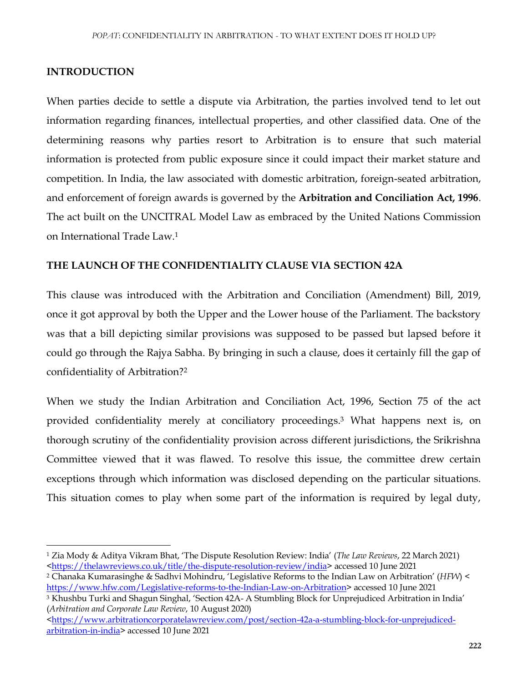#### **INTRODUCTION**

 $\overline{a}$ 

When parties decide to settle a dispute via Arbitration, the parties involved tend to let out information regarding finances, intellectual properties, and other classified data. One of the determining reasons why parties resort to Arbitration is to ensure that such material information is protected from public exposure since it could impact their market stature and competition. In India, the law associated with domestic arbitration, foreign-seated arbitration, and enforcement of foreign awards is governed by the **Arbitration and Conciliation Act, 1996**. The act built on the UNCITRAL Model Law as embraced by the United Nations Commission on International Trade Law.<sup>1</sup>

### **THE LAUNCH OF THE CONFIDENTIALITY CLAUSE VIA SECTION 42A**

This clause was introduced with the Arbitration and Conciliation (Amendment) Bill, 2019, once it got approval by both the Upper and the Lower house of the Parliament. The backstory was that a bill depicting similar provisions was supposed to be passed but lapsed before it could go through the Rajya Sabha. By bringing in such a clause, does it certainly fill the gap of confidentiality of Arbitration?<sup>2</sup>

When we study the Indian Arbitration and Conciliation Act, 1996, Section 75 of the act provided confidentiality merely at conciliatory proceedings.<sup>3</sup> What happens next is, on thorough scrutiny of the confidentiality provision across different jurisdictions, the Srikrishna Committee viewed that it was flawed. To resolve this issue, the committee drew certain exceptions through which information was disclosed depending on the particular situations. This situation comes to play when some part of the information is required by legal duty,

<sup>3</sup> Khushbu Turki and Shagun Singhal, 'Section 42A- A Stumbling Block for Unprejudiced Arbitration in India' (*Arbitration and Corporate Law Review*, 10 August 2020)

<sup>1</sup> Zia Mody & Aditya Vikram Bhat, 'The Dispute Resolution Review: India' (*The Law Reviews*, 22 March 2021) [<https://thelawreviews.co.uk/title/the-dispute-resolution-review/india>](https://thelawreviews.co.uk/title/the-dispute-resolution-review/india) accessed 10 June 2021

<sup>2</sup> Chanaka Kumarasinghe & Sadhvi Mohindru, 'Legislative Reforms to the Indian Law on Arbitration' (*HFW*) < [https://www.hfw.com/Legislative-reforms-to-the-Indian-Law-on-Arbitration>](https://www.hfw.com/Legislative-reforms-to-the-Indian-Law-on-Arbitration) accessed 10 June 2021

[<sup>&</sup>lt;https://www.arbitrationcorporatelawreview.com/post/section-42a-a-stumbling-block-for-unprejudiced](https://www.arbitrationcorporatelawreview.com/post/section-42a-a-stumbling-block-for-unprejudiced-arbitration-in-india)[arbitration-in-india>](https://www.arbitrationcorporatelawreview.com/post/section-42a-a-stumbling-block-for-unprejudiced-arbitration-in-india) accessed 10 June 2021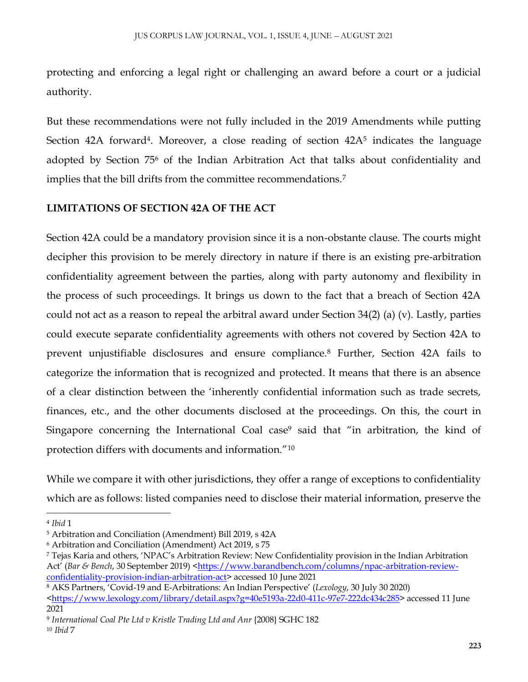protecting and enforcing a legal right or challenging an award before a court or a judicial authority.

But these recommendations were not fully included in the 2019 Amendments while putting Section 42A forward<sup>4</sup>. Moreover, a close reading of section  $42A<sup>5</sup>$  indicates the language adopted by Section 75<sup>6</sup> of the Indian Arbitration Act that talks about confidentiality and implies that the bill drifts from the committee recommendations.<sup>7</sup>

## **LIMITATIONS OF SECTION 42A OF THE ACT**

Section 42A could be a mandatory provision since it is a non-obstante clause. The courts might decipher this provision to be merely directory in nature if there is an existing pre-arbitration confidentiality agreement between the parties, along with party autonomy and flexibility in the process of such proceedings. It brings us down to the fact that a breach of Section 42A could not act as a reason to repeal the arbitral award under Section 34(2) (a) (v). Lastly, parties could execute separate confidentiality agreements with others not covered by Section 42A to prevent unjustifiable disclosures and ensure compliance.<sup>8</sup> Further, Section 42A fails to categorize the information that is recognized and protected. It means that there is an absence of a clear distinction between the 'inherently confidential information such as trade secrets, finances, etc., and the other documents disclosed at the proceedings. On this, the court in Singapore concerning the International Coal case<sup>9</sup> said that "in arbitration, the kind of protection differs with documents and information."<sup>10</sup>

While we compare it with other jurisdictions, they offer a range of exceptions to confidentiality which are as follows: listed companies need to disclose their material information, preserve the

 $\overline{a}$ 

<sup>4</sup> *Ibid* 1

<sup>5</sup> Arbitration and Conciliation (Amendment) Bill 2019, s 42A

<sup>6</sup> Arbitration and Conciliation (Amendment) Act 2019, s 75

<sup>7</sup> Tejas Karia and others, 'NPAC's Arbitration Review: New Confidentiality provision in the Indian Arbitration Act' (*Bar & Bench*, 30 September 2019) [<https://www.barandbench.com/columns/npac-arbitration-review](https://www.barandbench.com/columns/npac-arbitration-review-confidentiality-provision-indian-arbitration-act)[confidentiality-provision-indian-arbitration-act>](https://www.barandbench.com/columns/npac-arbitration-review-confidentiality-provision-indian-arbitration-act) accessed 10 June 2021

<sup>8</sup> AKS Partners, 'Covid-19 and E-Arbitrations: An Indian Perspective' (*Lexology*, 30 July 30 2020)

[<sup>&</sup>lt;https://www.lexology.com/library/detail.aspx?g=40e5193a-22d0-411c-97e7-222dc434c285>](https://www.lexology.com/library/detail.aspx?g=40e5193a-22d0-411c-97e7-222dc434c285) accessed 11 June 2021

<sup>9</sup> *International Coal Pte Ltd v Kristle Trading Ltd and Anr* {2008} SGHC 182

<sup>10</sup> *Ibid* 7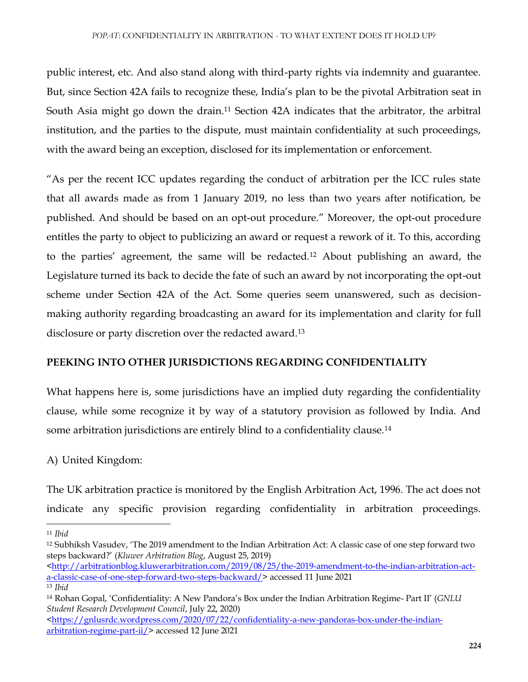public interest, etc. And also stand along with third-party rights via indemnity and guarantee. But, since Section 42A fails to recognize these, India's plan to be the pivotal Arbitration seat in South Asia might go down the drain.<sup>11</sup> Section 42A indicates that the arbitrator, the arbitral institution, and the parties to the dispute, must maintain confidentiality at such proceedings, with the award being an exception, disclosed for its implementation or enforcement.

"As per the recent ICC updates regarding the conduct of arbitration per the ICC rules state that all awards made as from 1 January 2019, no less than two years after notification, be published. And should be based on an opt-out procedure." Moreover, the opt-out procedure entitles the party to object to publicizing an award or request a rework of it. To this, according to the parties' agreement, the same will be redacted.<sup>12</sup> About publishing an award, the Legislature turned its back to decide the fate of such an award by not incorporating the opt-out scheme under Section 42A of the Act. Some queries seem unanswered, such as decisionmaking authority regarding broadcasting an award for its implementation and clarity for full disclosure or party discretion over the redacted award.<sup>13</sup>

# **PEEKING INTO OTHER JURISDICTIONS REGARDING CONFIDENTIALITY**

What happens here is, some jurisdictions have an implied duty regarding the confidentiality clause, while some recognize it by way of a statutory provision as followed by India. And some arbitration jurisdictions are entirely blind to a confidentiality clause.<sup>14</sup>

A) United Kingdom:

The UK arbitration practice is monitored by the English Arbitration Act, 1996. The act does not indicate any specific provision regarding confidentiality in arbitration proceedings.

 $\overline{\phantom{a}}$ <sup>11</sup> *Ibid*

<sup>12</sup> Subhiksh Vasudev, 'The 2019 amendment to the Indian Arbitration Act: A classic case of one step forward two steps backward?' (*Kluwer Arbitration Blog*, August 25, 2019)

[<sup>&</sup>lt;http://arbitrationblog.kluwerarbitration.com/2019/08/25/the-2019-amendment-to-the-indian-arbitration-act](http://arbitrationblog.kluwerarbitration.com/2019/08/25/the-2019-amendment-to-the-indian-arbitration-act-a-classic-case-of-one-step-forward-two-steps-backward/)[a-classic-case-of-one-step-forward-two-steps-backward/>](http://arbitrationblog.kluwerarbitration.com/2019/08/25/the-2019-amendment-to-the-indian-arbitration-act-a-classic-case-of-one-step-forward-two-steps-backward/) accessed 11 June 2021

<sup>13</sup> *Ibid*

<sup>14</sup> Rohan Gopal, 'Confidentiality: A New Pandora's Box under the Indian Arbitration Regime- Part II' (*GNLU Student Research Development Council*, July 22, 2020)

[<sup>&</sup>lt;https://gnlusrdc.wordpress.com/2020/07/22/confidentiality-a-new-pandoras-box-under-the-indian](https://gnlusrdc.wordpress.com/2020/07/22/confidentiality-a-new-pandoras-box-under-the-indian-arbitration-regime-part-ii/)[arbitration-regime-part-ii/>](https://gnlusrdc.wordpress.com/2020/07/22/confidentiality-a-new-pandoras-box-under-the-indian-arbitration-regime-part-ii/) accessed 12 June 2021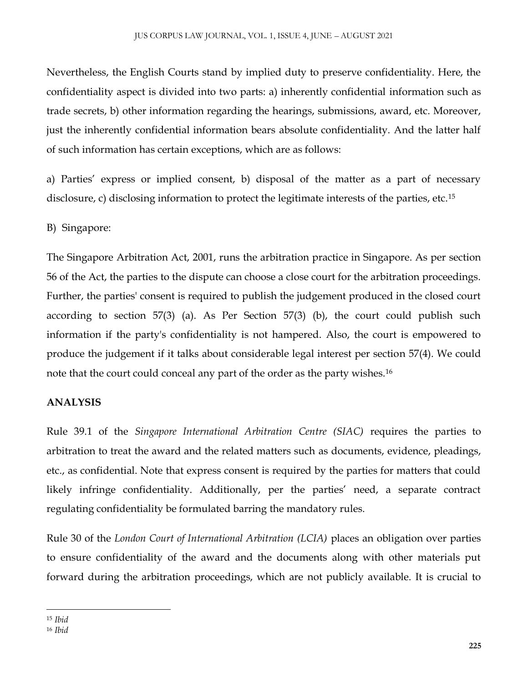Nevertheless, the English Courts stand by implied duty to preserve confidentiality. Here, the confidentiality aspect is divided into two parts: a) inherently confidential information such as trade secrets, b) other information regarding the hearings, submissions, award, etc. Moreover, just the inherently confidential information bears absolute confidentiality. And the latter half of such information has certain exceptions, which are as follows:

a) Parties' express or implied consent, b) disposal of the matter as a part of necessary disclosure, c) disclosing information to protect the legitimate interests of the parties, etc.<sup>15</sup>

B) Singapore:

The Singapore Arbitration Act, 2001, runs the arbitration practice in Singapore. As per section 56 of the Act, the parties to the dispute can choose a close court for the arbitration proceedings. Further, the parties' consent is required to publish the judgement produced in the closed court according to section 57(3) (a). As Per Section 57(3) (b), the court could publish such information if the party's confidentiality is not hampered. Also, the court is empowered to produce the judgement if it talks about considerable legal interest per section 57(4). We could note that the court could conceal any part of the order as the party wishes.<sup>16</sup>

# **ANALYSIS**

Rule 39.1 of the *Singapore International Arbitration Centre (SIAC)* requires the parties to arbitration to treat the award and the related matters such as documents, evidence, pleadings, etc., as confidential. Note that express consent is required by the parties for matters that could likely infringe confidentiality. Additionally, per the parties' need, a separate contract regulating confidentiality be formulated barring the mandatory rules.

Rule 30 of the *London Court of International Arbitration (LCIA)* places an obligation over parties to ensure confidentiality of the award and the documents along with other materials put forward during the arbitration proceedings, which are not publicly available. It is crucial to

 $\overline{\phantom{a}}$ <sup>15</sup> *Ibid*

<sup>16</sup> *Ibid*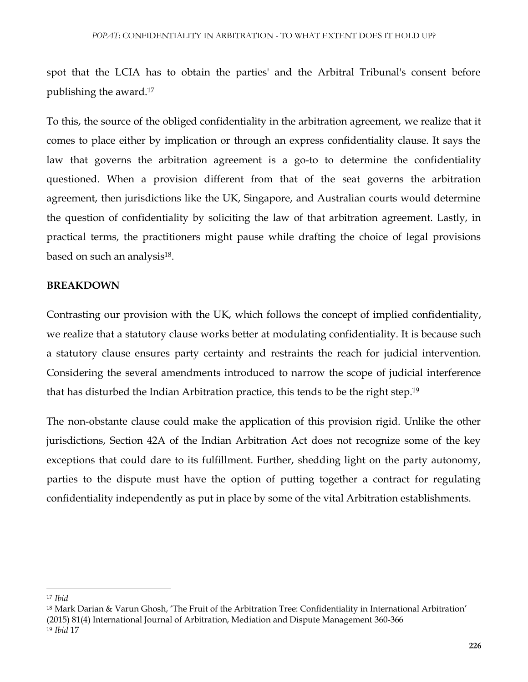spot that the LCIA has to obtain the parties' and the Arbitral Tribunal's consent before publishing the award.<sup>17</sup>

To this, the source of the obliged confidentiality in the arbitration agreement, we realize that it comes to place either by implication or through an express confidentiality clause. It says the law that governs the arbitration agreement is a go-to to determine the confidentiality questioned. When a provision different from that of the seat governs the arbitration agreement, then jurisdictions like the UK, Singapore, and Australian courts would determine the question of confidentiality by soliciting the law of that arbitration agreement. Lastly, in practical terms, the practitioners might pause while drafting the choice of legal provisions based on such an analysis<sup>18</sup>.

#### **BREAKDOWN**

Contrasting our provision with the UK, which follows the concept of implied confidentiality, we realize that a statutory clause works better at modulating confidentiality. It is because such a statutory clause ensures party certainty and restraints the reach for judicial intervention. Considering the several amendments introduced to narrow the scope of judicial interference that has disturbed the Indian Arbitration practice, this tends to be the right step.<sup>19</sup>

The non-obstante clause could make the application of this provision rigid. Unlike the other jurisdictions, Section 42A of the Indian Arbitration Act does not recognize some of the key exceptions that could dare to its fulfillment. Further, shedding light on the party autonomy, parties to the dispute must have the option of putting together a contract for regulating confidentiality independently as put in place by some of the vital Arbitration establishments.

 $\overline{\phantom{a}}$ 

<sup>17</sup> *Ibid*

<sup>18</sup> Mark Darian & Varun Ghosh, 'The Fruit of the Arbitration Tree: Confidentiality in International Arbitration' (2015) 81(4) International Journal of Arbitration, Mediation and Dispute Management 360-366 <sup>19</sup> *Ibid* 17